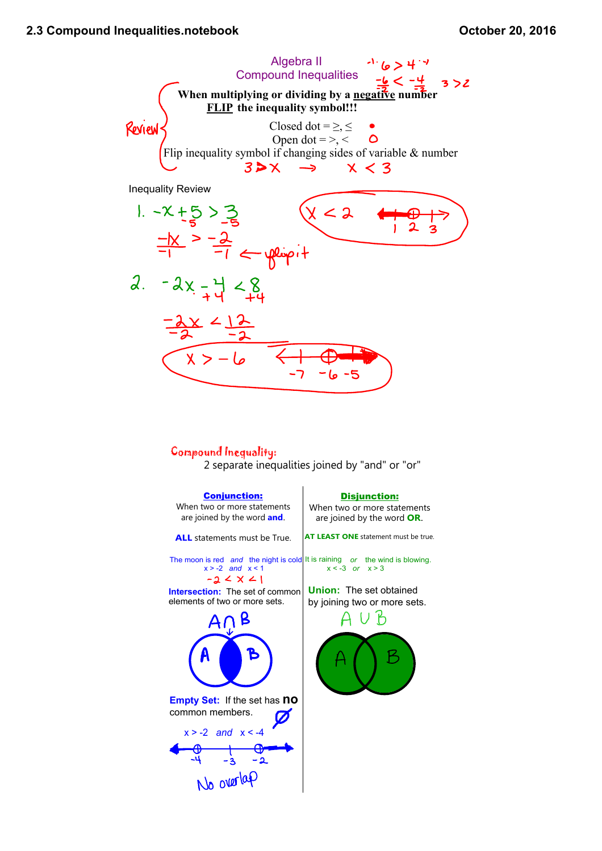

## Compound Inequality:

2 separate inequalities joined by "and" or "or"

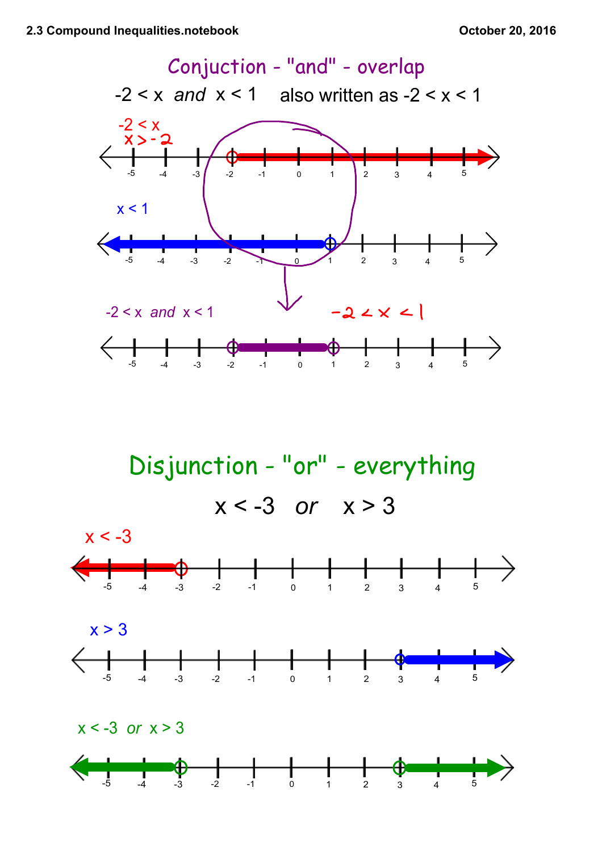

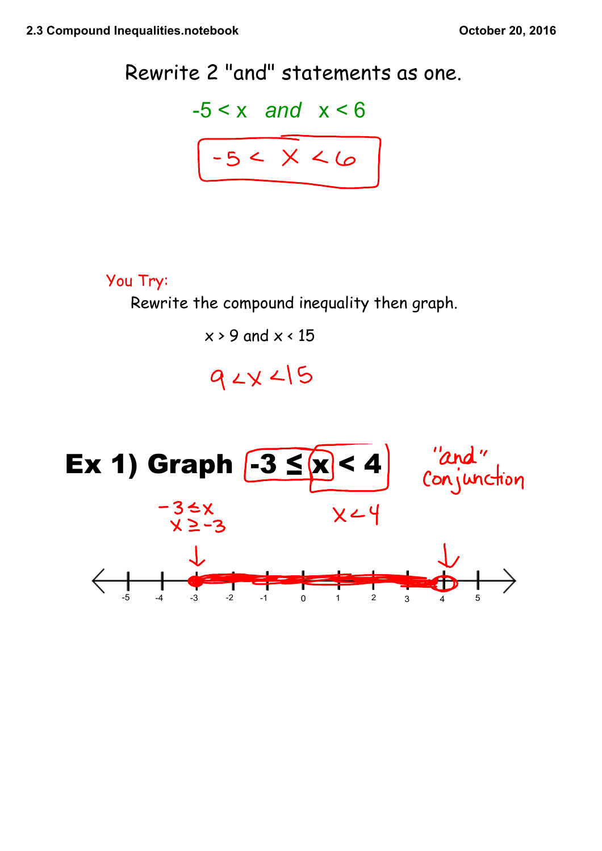

You Try:

Rewrite the compound inequality then graph.

 $x > 9$  and  $x < 15$ 

## $92x15$

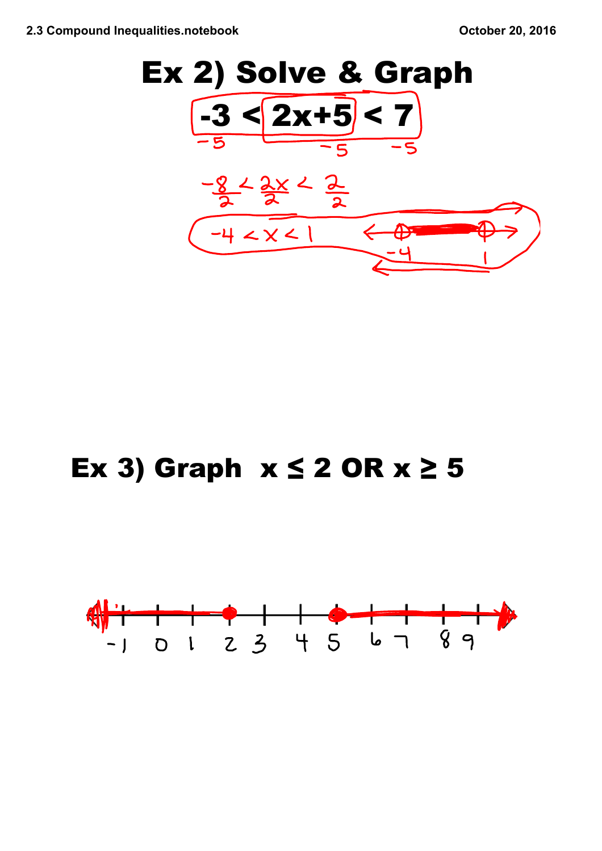

## **Ex 3) Graph x ≤ 2 OR x ≥ 5**